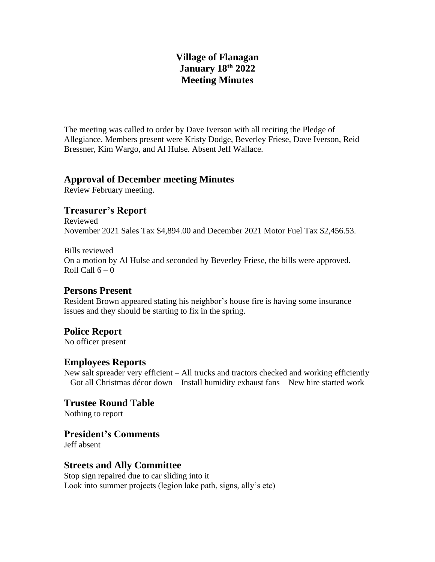# **Village of Flanagan January 18th 2022 Meeting Minutes**

The meeting was called to order by Dave Iverson with all reciting the Pledge of Allegiance. Members present were Kristy Dodge, Beverley Friese, Dave Iverson, Reid Bressner, Kim Wargo, and Al Hulse. Absent Jeff Wallace.

#### **Approval of December meeting Minutes**

Review February meeting.

# **Treasurer's Report**

Reviewed November 2021 Sales Tax \$4,894.00 and December 2021 Motor Fuel Tax \$2,456.53.

Bills reviewed On a motion by Al Hulse and seconded by Beverley Friese, the bills were approved. Roll Call  $6 - 0$ 

## **Persons Present**

Resident Brown appeared stating his neighbor's house fire is having some insurance issues and they should be starting to fix in the spring.

# **Police Report**

No officer present

## **Employees Reports**

New salt spreader very efficient – All trucks and tractors checked and working efficiently – Got all Christmas décor down – Install humidity exhaust fans – New hire started work

**Trustee Round Table** Nothing to report

**President's Comments**

Jeff absent

# **Streets and Ally Committee**

Stop sign repaired due to car sliding into it Look into summer projects (legion lake path, signs, ally's etc)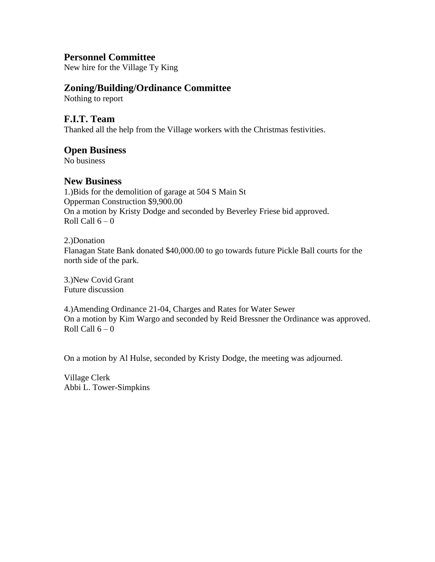## **Personnel Committee**

New hire for the Village Ty King

## **Zoning/Building/Ordinance Committee**

Nothing to report

#### **F.I.T. Team**

Thanked all the help from the Village workers with the Christmas festivities.

#### **Open Business**

No business

#### **New Business**

1.)Bids for the demolition of garage at 504 S Main St Opperman Construction \$9,900.00 On a motion by Kristy Dodge and seconded by Beverley Friese bid approved. Roll Call  $6 - 0$ 

2.)Donation Flanagan State Bank donated \$40,000.00 to go towards future Pickle Ball courts for the north side of the park.

3.)New Covid Grant Future discussion

4.)Amending Ordinance 21-04, Charges and Rates for Water Sewer On a motion by Kim Wargo and seconded by Reid Bressner the Ordinance was approved. Roll Call  $6 - 0$ 

On a motion by Al Hulse, seconded by Kristy Dodge, the meeting was adjourned.

Village Clerk Abbi L. Tower-Simpkins